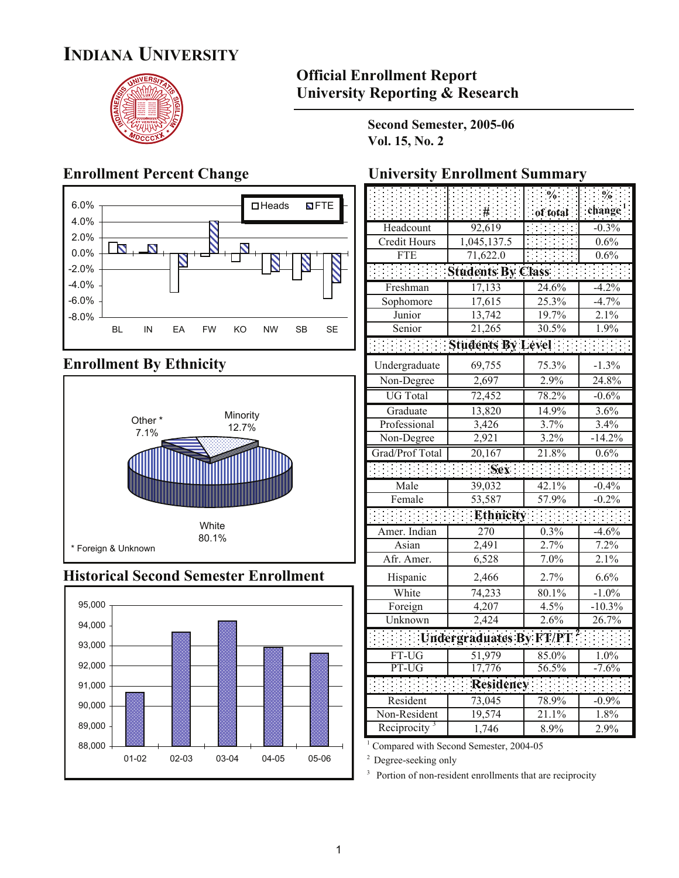# **INDIANA UNIVERSITY**



## **Official Enrollment Report University Reporting & Research**

**Second Semester, 2005-06 Vol. 15, No. 2**



# **Enrollment By Ethnicity**



## **Historical Second Semester Enrollment**



## **Enrollment Percent Change University Enrollment Summary**

|                                                 | #                              | of total | change   |  |  |  |  |  |  |  |  |  |  |
|-------------------------------------------------|--------------------------------|----------|----------|--|--|--|--|--|--|--|--|--|--|
| Headcount                                       | $\overline{92,619}$            |          | $-0.3%$  |  |  |  |  |  |  |  |  |  |  |
| <b>Credit Hours</b>                             | 1,045,137.5                    |          | 0.6%     |  |  |  |  |  |  |  |  |  |  |
| FTE                                             | 71,622.0                       |          | 0.6%     |  |  |  |  |  |  |  |  |  |  |
|                                                 | <b>Students By Class</b>       |          |          |  |  |  |  |  |  |  |  |  |  |
| Freshman                                        | 17,133                         | 24.6%    | $-4.2%$  |  |  |  |  |  |  |  |  |  |  |
| Sophomore                                       | 17,615                         | 25.3%    | $-4.7%$  |  |  |  |  |  |  |  |  |  |  |
| Junior                                          | 13,742                         | 19.7%    | 2.1%     |  |  |  |  |  |  |  |  |  |  |
| Senior                                          | 21,265                         | 30.5%    | 1.9%     |  |  |  |  |  |  |  |  |  |  |
| <b>Experience Students By Level And Act 201</b> |                                |          |          |  |  |  |  |  |  |  |  |  |  |
| Undergraduate                                   | 69,755                         | 75.3%    | $-1.3%$  |  |  |  |  |  |  |  |  |  |  |
| Non-Degree                                      | 2,697                          | 2.9%     | 24.8%    |  |  |  |  |  |  |  |  |  |  |
| <b>UG</b> Total                                 | 72,452                         | 78.2%    | $-0.6%$  |  |  |  |  |  |  |  |  |  |  |
| Graduate                                        | 13,820                         | 14.9%    | 3.6%     |  |  |  |  |  |  |  |  |  |  |
| Professional                                    | 3,426                          | 3.7%     | 3.4%     |  |  |  |  |  |  |  |  |  |  |
| Non-Degree                                      | 2,921                          | 3.2%     | $-14.2%$ |  |  |  |  |  |  |  |  |  |  |
| Grad/Prof Total                                 | 20,167                         | 21.8%    | 0.6%     |  |  |  |  |  |  |  |  |  |  |
|                                                 | <b>Sex</b>                     |          |          |  |  |  |  |  |  |  |  |  |  |
| Male                                            | 39,032                         | 42.1%    | $-0.4%$  |  |  |  |  |  |  |  |  |  |  |
| Female                                          | 53,587                         | 57.9%    | $-0.2\%$ |  |  |  |  |  |  |  |  |  |  |
|                                                 | <b>Ethnicity</b>               |          |          |  |  |  |  |  |  |  |  |  |  |
| Amer. Indian                                    | 270                            | $0.3\%$  | $-4.6%$  |  |  |  |  |  |  |  |  |  |  |
| Asian                                           | 2,491                          | 2.7%     | 7.2%     |  |  |  |  |  |  |  |  |  |  |
| Afr. Amer.                                      | 6,528                          | 7.0%     | 2.1%     |  |  |  |  |  |  |  |  |  |  |
| Hispanic                                        | 2,466                          | 2.7%     | 6.6%     |  |  |  |  |  |  |  |  |  |  |
| White                                           | 74,233                         | 80.1%    | $-1.0\%$ |  |  |  |  |  |  |  |  |  |  |
| Foreign                                         | 4,207                          | $4.5\%$  | $-10.3%$ |  |  |  |  |  |  |  |  |  |  |
| Unknown                                         | 2,424                          | 2.6%     | 26.7%    |  |  |  |  |  |  |  |  |  |  |
|                                                 | <b>Undergraduates By FT/PT</b> |          |          |  |  |  |  |  |  |  |  |  |  |
| FT-UG                                           | 51,979                         | 85.0%    | 1.0%     |  |  |  |  |  |  |  |  |  |  |
| PT-UG                                           | 17,776                         | 56.5%    | $-7.6%$  |  |  |  |  |  |  |  |  |  |  |
|                                                 | <b>Residency</b>               |          |          |  |  |  |  |  |  |  |  |  |  |
| Resident                                        | 73,045                         | 78.9%    | $-0.9%$  |  |  |  |  |  |  |  |  |  |  |
| Non-Resident                                    | 19,574                         | 21.1%    | 1.8%     |  |  |  |  |  |  |  |  |  |  |
| Reciprocity <sup>3</sup>                        | 1,746                          | 8.9%     | 2.9%     |  |  |  |  |  |  |  |  |  |  |

<sup>1</sup> Compared with Second Semester, 2004-05

<sup>2</sup> Degree-seeking only

<sup>3</sup> Portion of non-resident enrollments that are reciprocity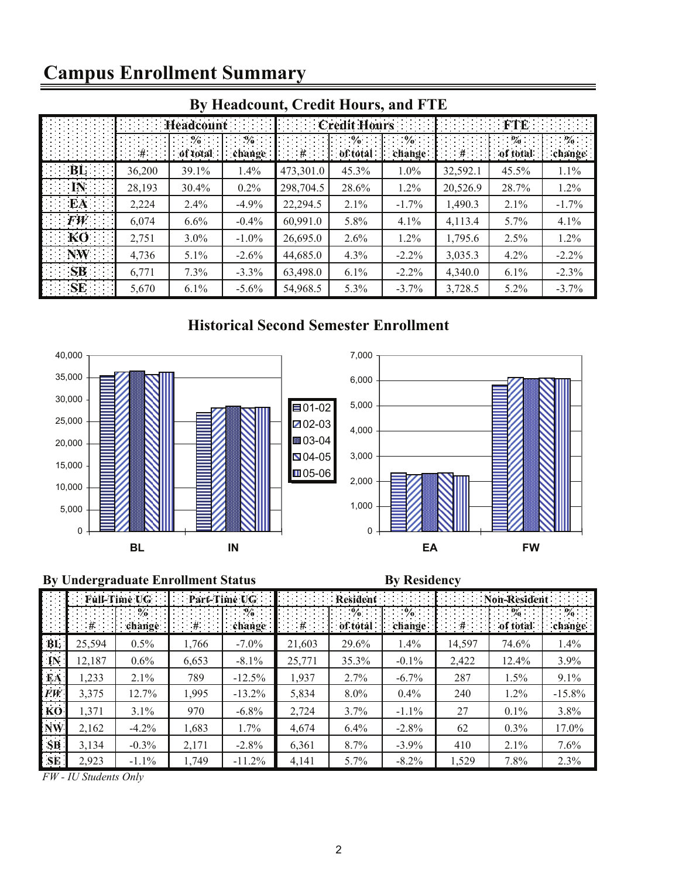# **Campus Enrollment Summary**

| Dy Heaucount, Creatt Hours, and PTE |           |          |          |           |                     |          |            |          |          |  |
|-------------------------------------|-----------|----------|----------|-----------|---------------------|----------|------------|----------|----------|--|
|                                     | Headcount |          |          |           | <b>Credit Hours</b> |          | <b>FTE</b> |          |          |  |
|                                     |           |          |          |           |                     |          |            |          |          |  |
|                                     | #         | of total | change   | #         | of total   change   |          | #          | of total | change   |  |
| BL                                  | 36,200    | 39.1%    | $1.4\%$  | 473,301.0 | 45.3%               | $1.0\%$  | 32,592.1   | $45.5\%$ | 1.1%     |  |
| $\mathbf{I}$ N                      | 28,193    | $30.4\%$ | $0.2\%$  | 298,704.5 | 28.6%               | $1.2\%$  | 20,526.9   | 28.7%    | 1.2%     |  |
| EA.                                 | 2,224     | $2.4\%$  | $-4.9%$  | 22,294.5  | 2.1%                | $-1.7\%$ | 1,490.3    | 2.1%     | $-1.7%$  |  |
| FW                                  | 6,074     | $6.6\%$  | $-0.4\%$ | 60,991.0  | 5.8%                | 4.1%     | 4,113.4    | $5.7\%$  | $4.1\%$  |  |
| KO.                                 | 2,751     | $3.0\%$  | $-1.0\%$ | 26,695.0  | 2.6%                | $1.2\%$  | 1,795.6    | 2.5%     | 1.2%     |  |
| <b>NW</b>                           | 4,736     | $5.1\%$  | $-2.6\%$ | 44,685.0  | 4.3%                | $-2.2\%$ | 3,035.3    | 4.2%     | $-2.2%$  |  |
| <b>SB</b>                           | 6,771     | $7.3\%$  | $-3.3\%$ | 63,498.0  | 6.1%                | $-2.2\%$ | 4,340.0    | 6.1%     | $-2.3\%$ |  |
| <b>SE</b>                           | 5,670     | $6.1\%$  | $-5.6\%$ | 54,968.5  | 5.3%                | $-3.7\%$ | 3,728.5    | $5.2\%$  | $-3.7\%$ |  |

#### **By Headcount, Credit Hours, and FTE**

#### **Historical Second Semester Enrollment**





## **By Undergraduate Enrollment Status By Residency**

|                        | $\parallel$ Full-Time UG |          | Part-Time UG |           |        | Resident |                      | <b>Non-Resident</b> |                  |          |  |
|------------------------|--------------------------|----------|--------------|-----------|--------|----------|----------------------|---------------------|------------------|----------|--|
|                        | #                        | change   | #            | change    | #      | of total | change $\parallel$ # |                     | of total $\vert$ | change   |  |
| BL.                    | 25.594                   | $0.5\%$  | 1.766        | $-7.0\%$  | 21,603 | 29.6%    | 1.4%                 | 14,597              | 74.6%            | 1.4%     |  |
| IN                     | 12.187                   | $0.6\%$  | 6,653        | $-8.1\%$  | 25,771 | 35.3%    | $-0.1\%$             | 2,422               | 12.4%            | $3.9\%$  |  |
| EA                     | 1,233                    | 2.1%     | 789          | $-12.5%$  | 1.937  | 2.7%     | $-6.7\%$             | 287                 | 1.5%             | $9.1\%$  |  |
| $\pmb{F}\pmb{W}$       | 3,375                    | 12.7%    | 1.995        | $-13.2\%$ | 5,834  | $8.0\%$  | 0.4%                 | 240                 | 1.2%             | $-15.8%$ |  |
| KO                     | 1,371                    | 3.1%     | 970          | $-6.8%$   | 2,724  | 3.7%     | $-1.1\%$             | 27                  | $0.1\%$          | $3.8\%$  |  |
| $\mathbf{N}\mathbf{W}$ | 2.162                    | $-4.2\%$ | 1,683        | 1.7%      | 4.674  | $6.4\%$  | $-2.8\%$             | 62                  | $0.3\%$          | 17.0%    |  |
| SB                     | 3,134                    | $-0.3\%$ | 2,171        | $-2.8%$   | 6,361  | 8.7%     | $-3.9\%$             | 410                 | 2.1%             | 7.6%     |  |
| SE                     | 2,923                    | $-1.1\%$ | 1.749        | $-11.2%$  | 4,141  | 5.7%     | $-8.2\%$             | 1,529               | 7.8%             | 2.3%     |  |

*FW - IU Students Only*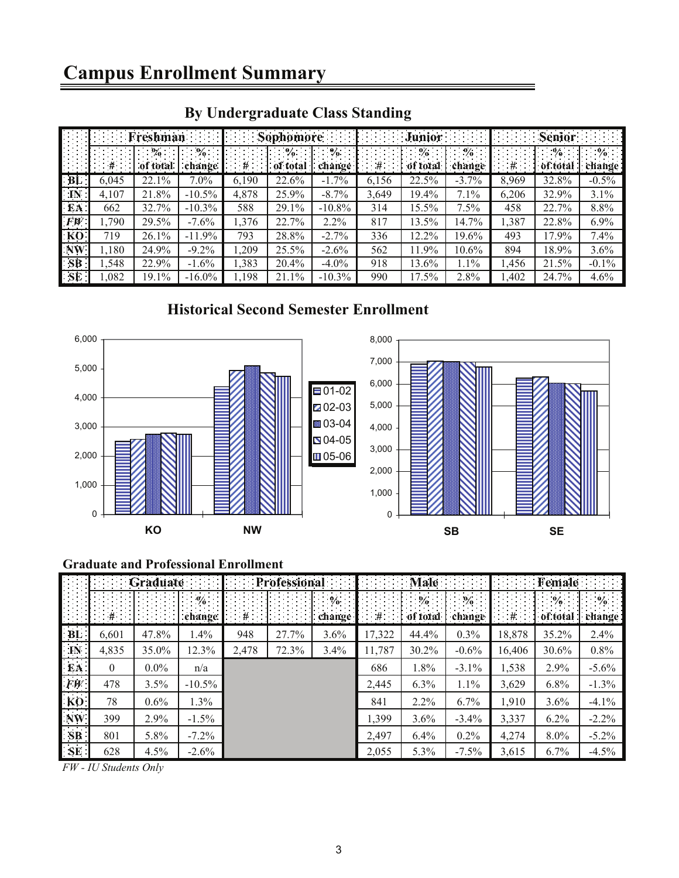|                         | <b>First Freshman Fig. 1999</b> |               |               |       |       |                         |       |               |          |                           |               |          |
|-------------------------|---------------------------------|---------------|---------------|-------|-------|-------------------------|-------|---------------|----------|---------------------------|---------------|----------|
|                         |                                 | $\frac{0}{0}$ | $\frac{0}{2}$ |       |       | $\frac{6}{10}$          |       | $\frac{9}{6}$ |          |                           | $\frac{9}{6}$ | $\%$     |
|                         | #                               | of total      | change        | # 1   |       | of total $ $ change $ $ | #     | of total      | change   | $\mathbf{1}$ $\mathbf{1}$ | of total      | change / |
| <b>BL</b>               | 6,045                           | 22.1%         | $0\%$         | 6,190 | 22.6% | $-1.7\%$                | 6,156 | 22.5%         | $-3.7\%$ | 8,969                     | 32.8%         | $-0.5%$  |
| $\overline{\mathbb{N}}$ | 4,107                           | 21.8%         | $-10.5%$      | 4,878 | 25.9% | $-8.7\%$                | 3,649 | 19.4%         | 7.1%     | 6,206                     | 32.9%         | 3.1%     |
| EA .                    | 662                             | 32.7%         | $-10.3%$      | 588   | 29.1% | $-10.8\%$               | 314   | 15.5%         | 7.5%     | 458                       | 22.7%         | 8.8%     |
| $\overline{FW}$         | .790                            | 29.5%         | $-7.6%$       | 1,376 | 22.7% | 2.2%                    | 817   | 13.5%         | 14.7%    | 1,387                     | 22.8%         | 6.9%     |
| K <sub>0</sub>          | 719                             | 26.1%         | $-11.9%$      | 793   | 28.8% | $-2.7\%$                | 336   | 12.2%         | 19.6%    | 493                       | 17.9%         | 7.4%     |
| <b>NW</b>               | 1,180                           | 24.9%         | $-9.2\%$      | ,209  | 25.5% | $-2.6%$                 | 562   | 11.9%         | 10.6%    | 894                       | 18.9%         | 3.6%     |
| $\overline{\text{SB}}$  | .548                            | 22.9%         | $-1.6\%$      | .383  | 20.4% | $-4.0\%$                | 918   | 13.6%         | 1.1%     | l.456                     | 21.5%         | $-0.1\%$ |
| SE.                     | ,082                            | 19.1%         | $-16.0\%$     | .198  | 21.1% | $-10.3\%$               | 990   | 17.5%         | 2.8%     | ,402                      | 24.7%         | 4.6%     |

**By Undergraduate Class Standing**

## **Historical Second Semester Enrollment**



#### **Graduate and Professional Enrollment**

|                        | Graduate |         |          | <b>Professional</b> |       |        | <b>Male</b> |               |               | Female |          |          |
|------------------------|----------|---------|----------|---------------------|-------|--------|-------------|---------------|---------------|--------|----------|----------|
|                        |          |         |          |                     |       | $\%$   |             | $\frac{0}{0}$ | $\frac{0}{0}$ |        | $\%$     |          |
|                        | #        |         | change   | #                   |       | change |             | of total      | change        | #      | of total | change   |
| BL                     | 6,601    | 47.8%   | $1.4\%$  | 948                 | 27.7% | 3.6%   | 17,322      | 44.4%         | $0.3\%$       | 18,878 | 35.2%    | 2.4%     |
| $\overline{IN}$        | 4,835    | 35.0%   | 12.3%    | 2,478               | 72.3% | 3.4%   | 11,787      | 30.2%         | $-0.6\%$      | 16,406 | 30.6%    | 0.8%     |
| $E_A$                  | $\theta$ | $0.0\%$ | n/a      |                     |       |        | 686         | 1.8%          | $-3.1\%$      | 1,538  | 2.9%     | $-5.6\%$ |
| $\boxed{FW}$           | 478      | 3.5%    | $-10.5%$ |                     |       |        | 2,445       | 6.3%          | 1.1%          | 3,629  | $6.8\%$  | $-1.3%$  |
| K <sub>O</sub>         | 78       | 0.6%    | 1.3%     |                     |       |        | 841         | $2.2\%$       | 6.7%          | 1,910  | $3.6\%$  | $-4.1\%$ |
| $\overline{\text{NW}}$ | 399      | 2.9%    | $-1.5\%$ |                     |       |        | 1,399       | 3.6%          | $-3.4\%$      | 3,337  | $6.2\%$  | $-2.2\%$ |
| SB                     | 801      | 5.8%    | $-7.2\%$ |                     |       |        | 2.497       | 6.4%          | $0.2\%$       | 4,274  | $8.0\%$  | $-5.2\%$ |
| SE                     | 628      | 4.5%    | $-2.6\%$ |                     |       |        | 2,055       | 5.3%          | $-7.5%$       | 3,615  | 6.7%     | $-4.5%$  |

*FW - IU Students Only*